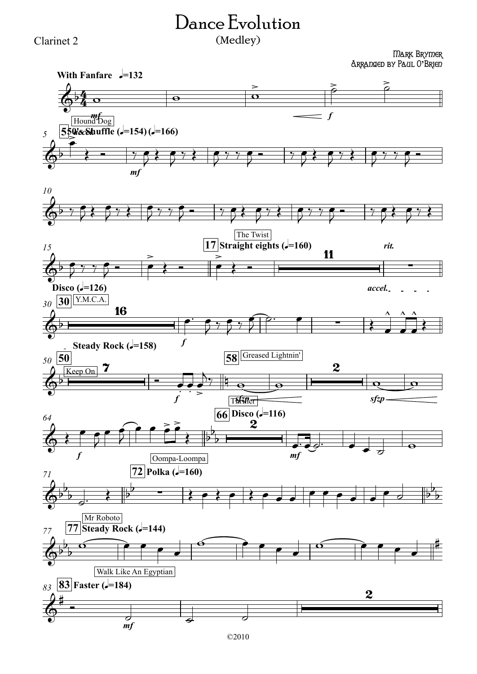## Clarinet 2

## Dance Evolution (Medley)

Mark Brymer Arranged by Paul O**'**Brien

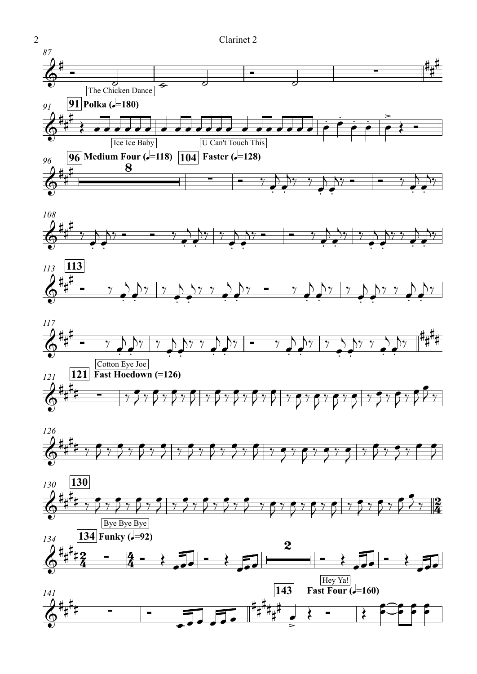